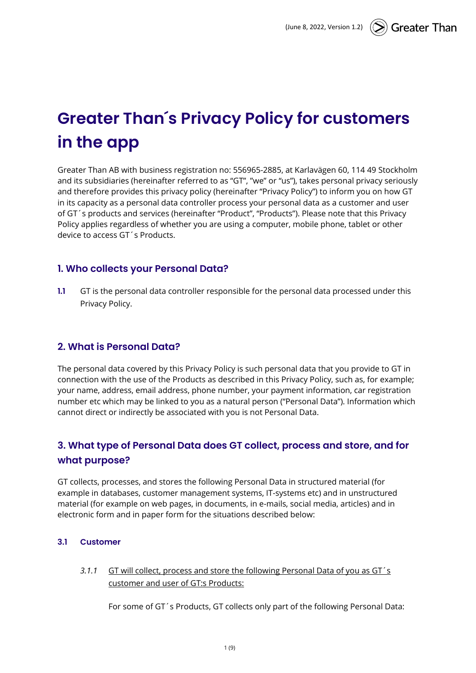# **Greater Than´s Privacy Policy for customers in the app**

Greater Than AB with business registration no: 556965-2885, at Karlavägen 60, 114 49 Stockholm and its subsidiaries (hereinafter referred to as "GT", "we" or "us"), takes personal privacy seriously and therefore provides this privacy policy (hereinafter "Privacy Policy") to inform you on how GT in its capacity as a personal data controller process your personal data as a customer and user of GT´s products and services (hereinafter "Product", "Products"). Please note that this Privacy Policy applies regardless of whether you are using a computer, mobile phone, tablet or other device to access GT´s Products.

## **1. Who collects your Personal Data?**

**1.1** GT is the personal data controller responsible for the personal data processed under this Privacy Policy.

## **2. What is Personal Data?**

The personal data covered by this Privacy Policy is such personal data that you provide to GT in connection with the use of the Products as described in this Privacy Policy, such as, for example; your name, address, email address, phone number, your payment information, car registration number etc which may be linked to you as a natural person ("Personal Data"). Information which cannot direct or indirectly be associated with you is not Personal Data.

# **3. What type of Personal Data does GT collect, process and store, and for what purpose?**

GT collects, processes, and stores the following Personal Data in structured material (for example in databases, customer management systems, IT-systems etc) and in unstructured material (for example on web pages, in documents, in e-mails, social media, articles) and in electronic form and in paper form for the situations described below:

#### **3.1 Customer**

*3.1.1* GT will collect, process and store the following Personal Data of you as GT´s customer and user of GT:s Products:

For some of GT´s Products, GT collects only part of the following Personal Data: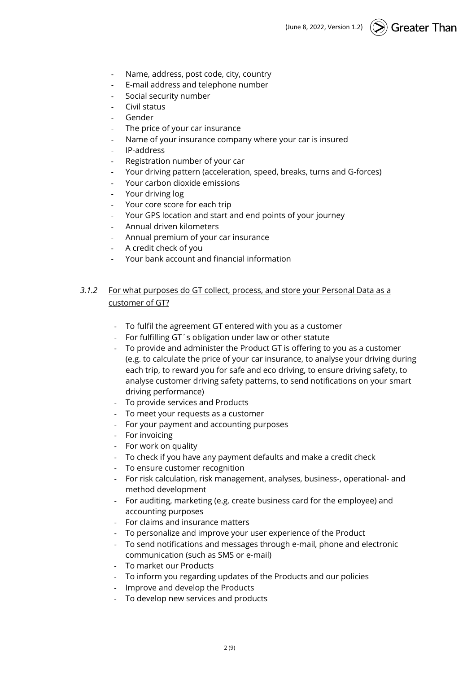- Name, address, post code, city, country
- E-mail address and telephone number
- Social security number
- Civil status
- **Gender**
- The price of your car insurance
- Name of your insurance company where your car is insured
- IP-address
- Registration number of your car
- Your driving pattern (acceleration, speed, breaks, turns and G-forces)
- Your carbon dioxide emissions
- Your driving log
- Your core score for each trip
- Your GPS location and start and end points of your journey
- Annual driven kilometers
- Annual premium of your car insurance
- A credit check of you
- Your bank account and financial information

### *3.1.2* For what purposes do GT collect, process, and store your Personal Data as a customer of GT?

- To fulfil the agreement GT entered with you as a customer
- For fulfilling GT´s obligation under law or other statute
- To provide and administer the Product GT is offering to you as a customer (e.g. to calculate the price of your car insurance, to analyse your driving during each trip, to reward you for safe and eco driving, to ensure driving safety, to analyse customer driving safety patterns, to send notifications on your smart driving performance)
- To provide services and Products
- To meet your requests as a customer
- For your payment and accounting purposes
- For invoicing
- For work on quality
- To check if you have any payment defaults and make a credit check
- To ensure customer recognition
- For risk calculation, risk management, analyses, business-, operational- and method development
- For auditing, marketing (e.g. create business card for the employee) and accounting purposes
- For claims and insurance matters
- To personalize and improve your user experience of the Product
- To send notifications and messages through e-mail, phone and electronic communication (such as SMS or e-mail)
- To market our Products
- To inform you regarding updates of the Products and our policies
- Improve and develop the Products
- To develop new services and products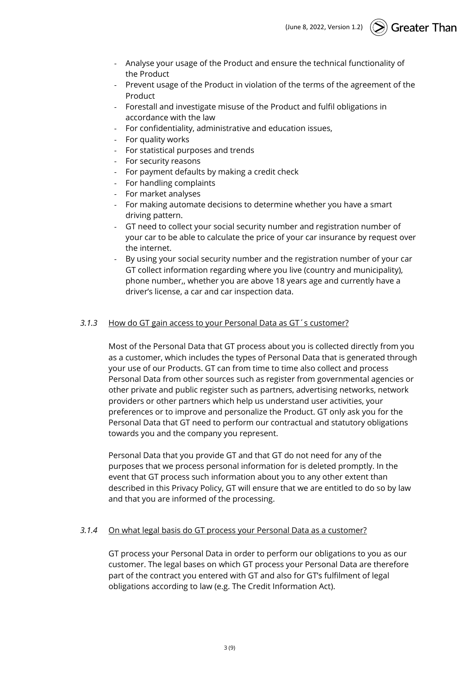- Analyse your usage of the Product and ensure the technical functionality of the Product
- Prevent usage of the Product in violation of the terms of the agreement of the Product
- Forestall and investigate misuse of the Product and fulfil obligations in accordance with the law
- For confidentiality, administrative and education issues,
- For quality works
- For statistical purposes and trends
- For security reasons
- For payment defaults by making a credit check
- For handling complaints
- For market analyses
- For making automate decisions to determine whether you have a smart driving pattern.
- GT need to collect your social security number and registration number of your car to be able to calculate the price of your car insurance by request over the internet.
- By using your social security number and the registration number of your car GT collect information regarding where you live (country and municipality), phone number,, whether you are above 18 years age and currently have a driver's license, a car and car inspection data.

#### *3.1.3* How do GT gain access to your Personal Data as GT´s customer?

Most of the Personal Data that GT process about you is collected directly from you as a customer, which includes the types of Personal Data that is generated through your use of our Products. GT can from time to time also collect and process Personal Data from other sources such as register from governmental agencies or other private and public register such as partners, advertising networks, network providers or other partners which help us understand user activities, your preferences or to improve and personalize the Product. GT only ask you for the Personal Data that GT need to perform our contractual and statutory obligations towards you and the company you represent.

Personal Data that you provide GT and that GT do not need for any of the purposes that we process personal information for is deleted promptly. In the event that GT process such information about you to any other extent than described in this Privacy Policy, GT will ensure that we are entitled to do so by law and that you are informed of the processing.

#### *3.1.4* On what legal basis do GT process your Personal Data as a customer?

GT process your Personal Data in order to perform our obligations to you as our customer. The legal bases on which GT process your Personal Data are therefore part of the contract you entered with GT and also for GT's fulfilment of legal obligations according to law (e.g. The Credit Information Act).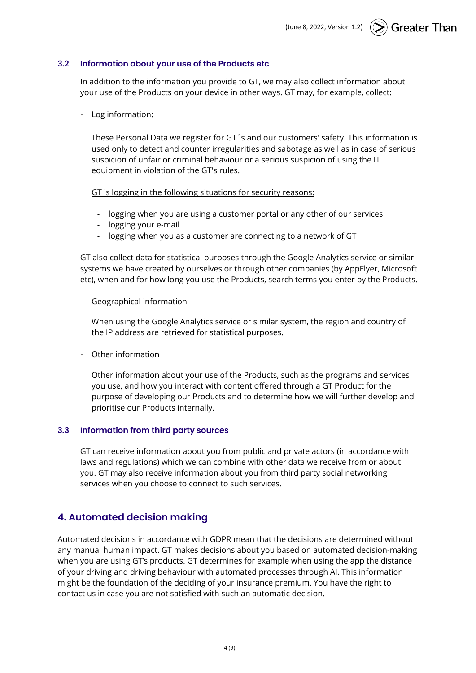#### **3.2 Information about your use of the Products etc**

In addition to the information you provide to GT, we may also collect information about your use of the Products on your device in other ways. GT may, for example, collect:

#### Log information:

These Personal Data we register for GT´s and our customers' safety. This information is used only to detect and counter irregularities and sabotage as well as in case of serious suspicion of unfair or criminal behaviour or a serious suspicion of using the IT equipment in violation of the GT's rules.

GT is logging in the following situations for security reasons:

- logging when you are using a customer portal or any other of our services
- logging your e-mail
- logging when you as a customer are connecting to a network of GT

GT also collect data for statistical purposes through the Google Analytics service or similar systems we have created by ourselves or through other companies (by AppFlyer, Microsoft etc), when and for how long you use the Products, search terms you enter by the Products.

#### - Geographical information

When using the Google Analytics service or similar system, the region and country of the IP address are retrieved for statistical purposes.

#### - Other information

Other information about your use of the Products, such as the programs and services you use, and how you interact with content offered through a GT Product for the purpose of developing our Products and to determine how we will further develop and prioritise our Products internally.

#### **3.3 Information from third party sources**

GT can receive information about you from public and private actors (in accordance with laws and regulations) which we can combine with other data we receive from or about you. GT may also receive information about you from third party social networking services when you choose to connect to such services.

#### **4. Automated decision making**

Automated decisions in accordance with GDPR mean that the decisions are determined without any manual human impact. GT makes decisions about you based on automated decision-making when you are using GT's products. GT determines for example when using the app the distance of your driving and driving behaviour with automated processes through AI. This information might be the foundation of the deciding of your insurance premium. You have the right to contact us in case you are not satisfied with such an automatic decision.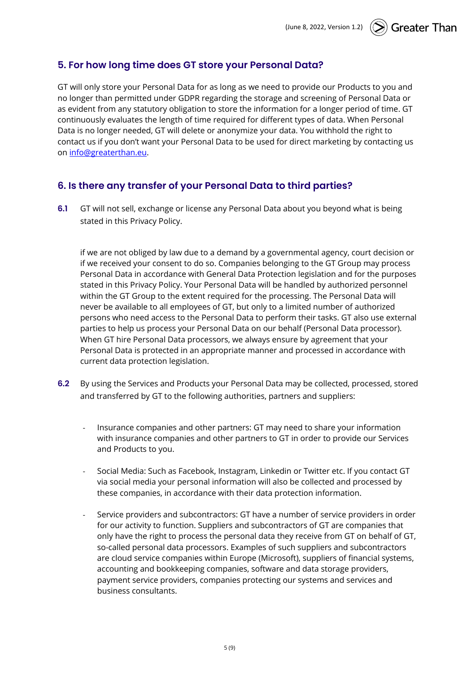# **5. For how long time does GT store your Personal Data?**

GT will only store your Personal Data for as long as we need to provide our Products to you and no longer than permitted under GDPR regarding the storage and screening of Personal Data or as evident from any statutory obligation to store the information for a longer period of time. GT continuously evaluates the length of time required for different types of data. When Personal Data is no longer needed, GT will delete or anonymize your data. You withhold the right to contact us if you don't want your Personal Data to be used for direct marketing by contacting us on [info@greaterthan.eu.](mailto:info@greaterthan.eu)

## **6. Is there any transfer of your Personal Data to third parties?**

**6.1** GT will not sell, exchange or license any Personal Data about you beyond what is being stated in this Privacy Policy.

if we are not obliged by law due to a demand by a governmental agency, court decision or if we received your consent to do so. Companies belonging to the GT Group may process Personal Data in accordance with General Data Protection legislation and for the purposes stated in this Privacy Policy. Your Personal Data will be handled by authorized personnel within the GT Group to the extent required for the processing. The Personal Data will never be available to all employees of GT, but only to a limited number of authorized persons who need access to the Personal Data to perform their tasks. GT also use external parties to help us process your Personal Data on our behalf (Personal Data processor). When GT hire Personal Data processors, we always ensure by agreement that your Personal Data is protected in an appropriate manner and processed in accordance with current data protection legislation.

- **6.2** By using the Services and Products your Personal Data may be collected, processed, stored and transferred by GT to the following authorities, partners and suppliers:
	- Insurance companies and other partners: GT may need to share your information with insurance companies and other partners to GT in order to provide our Services and Products to you.
	- Social Media: Such as Facebook, Instagram, Linkedin or Twitter etc. If you contact GT via social media your personal information will also be collected and processed by these companies, in accordance with their data protection information.
	- Service providers and subcontractors: GT have a number of service providers in order for our activity to function. Suppliers and subcontractors of GT are companies that only have the right to process the personal data they receive from GT on behalf of GT, so-called personal data processors. Examples of such suppliers and subcontractors are cloud service companies within Europe (Microsoft), suppliers of financial systems, accounting and bookkeeping companies, software and data storage providers, payment service providers, companies protecting our systems and services and business consultants.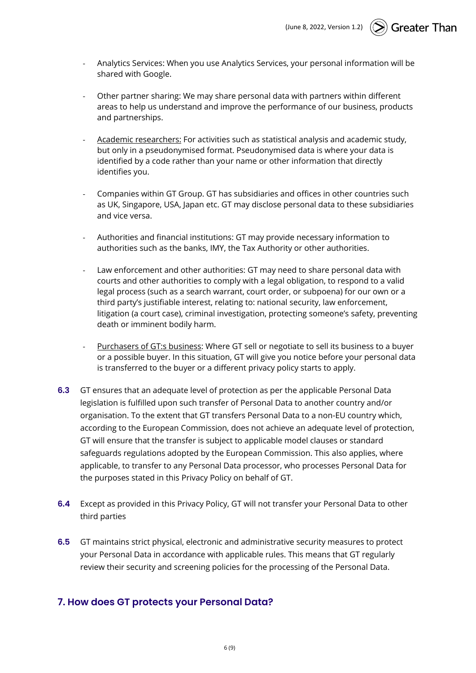- Analytics Services: When you use Analytics Services, your personal information will be shared with Google.
- Other partner sharing: We may share personal data with partners within different areas to help us understand and improve the performance of our business, products and partnerships.
- Academic researchers: For activities such as statistical analysis and academic study, but only in a pseudonymised format. Pseudonymised data is where your data is identified by a code rather than your name or other information that directly identifies you.
- Companies within GT Group. GT has subsidiaries and offices in other countries such as UK, Singapore, USA, Japan etc. GT may disclose personal data to these subsidiaries and vice versa.
- Authorities and financial institutions: GT may provide necessary information to authorities such as the banks, IMY, the Tax Authority or other authorities.
- Law enforcement and other authorities: GT may need to share personal data with courts and other authorities to comply with a legal obligation, to respond to a valid legal process (such as a search warrant, court order, or subpoena) for our own or a third party's justifiable interest, relating to: national security, law enforcement, litigation (a court case), criminal investigation, protecting someone's safety, preventing death or imminent bodily harm.
- Purchasers of GT:s business: Where GT sell or negotiate to sell its business to a buyer or a possible buyer. In this situation, GT will give you notice before your personal data is transferred to the buyer or a different privacy policy starts to apply.
- **6.3** GT ensures that an adequate level of protection as per the applicable Personal Data legislation is fulfilled upon such transfer of Personal Data to another country and/or organisation. To the extent that GT transfers Personal Data to a non-EU country which, according to the European Commission, does not achieve an adequate level of protection, GT will ensure that the transfer is subject to applicable model clauses or standard safeguards regulations adopted by the European Commission. This also applies, where applicable, to transfer to any Personal Data processor, who processes Personal Data for the purposes stated in this Privacy Policy on behalf of GT.
- **6.4** Except as provided in this Privacy Policy, GT will not transfer your Personal Data to other third parties
- **6.5** GT maintains strict physical, electronic and administrative security measures to protect your Personal Data in accordance with applicable rules. This means that GT regularly review their security and screening policies for the processing of the Personal Data.

## **7. How does GT protects your Personal Data?**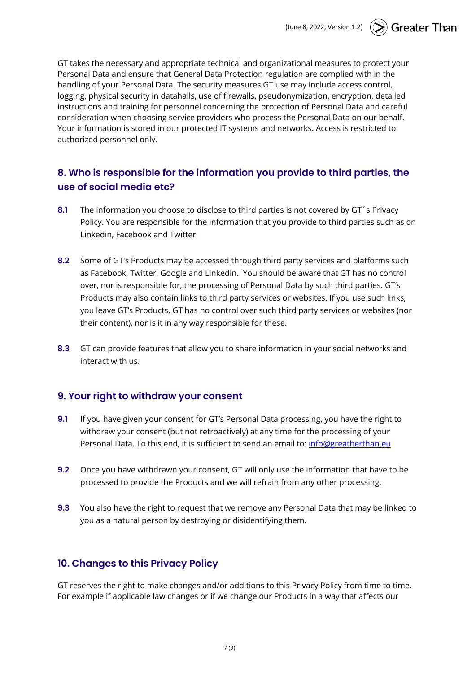GT takes the necessary and appropriate technical and organizational measures to protect your Personal Data and ensure that General Data Protection regulation are complied with in the handling of your Personal Data. The security measures GT use may include access control, logging, physical security in datahalls, use of firewalls, pseudonymization, encryption, detailed instructions and training for personnel concerning the protection of Personal Data and careful consideration when choosing service providers who process the Personal Data on our behalf. Your information is stored in our protected IT systems and networks. Access is restricted to authorized personnel only.

# **8. Who is responsible for the information you provide to third parties, the use of social media etc?**

- **8.1** The information you choose to disclose to third parties is not covered by GT´s Privacy Policy. You are responsible for the information that you provide to third parties such as on Linkedin, Facebook and Twitter.
- **8.2** Some of GT's Products may be accessed through third party services and platforms such as Facebook, Twitter, Google and Linkedin. You should be aware that GT has no control over, nor is responsible for, the processing of Personal Data by such third parties. GT's Products may also contain links to third party services or websites. If you use such links, you leave GT's Products. GT has no control over such third party services or websites (nor their content), nor is it in any way responsible for these.
- **8.3** GT can provide features that allow you to share information in your social networks and interact with us.

## **9. Your right to withdraw your consent**

- **9.1** If you have given your consent for GT's Personal Data processing, you have the right to withdraw your consent (but not retroactively) at any time for the processing of your Personal Data. To this end, it is sufficient to send an email to: [info@greatherthan.eu](mailto:info@greatherthan.eu)
- **9.2** Once you have withdrawn your consent, GT will only use the information that have to be processed to provide the Products and we will refrain from any other processing.
- **9.3** You also have the right to request that we remove any Personal Data that may be linked to you as a natural person by destroying or disidentifying them.

## **10. Changes to this Privacy Policy**

GT reserves the right to make changes and/or additions to this Privacy Policy from time to time. For example if applicable law changes or if we change our Products in a way that affects our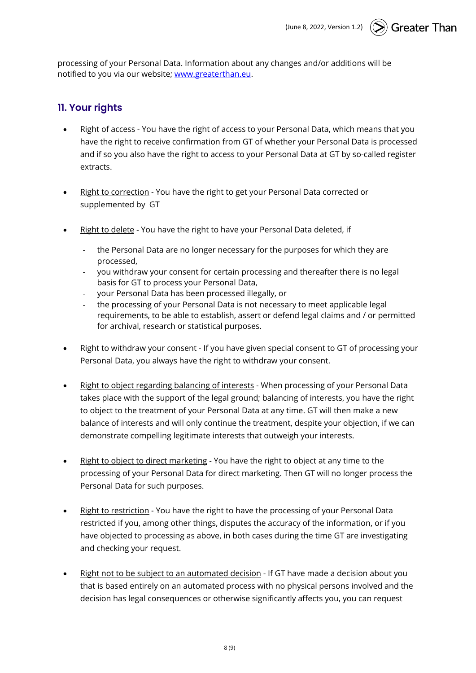processing of your Personal Data. Information about any changes and/or additions will be notified to you via our website; [www.greaterthan.eu.](http://www.greaterthan.eu/)

## **11. Your rights**

- Right of access You have the right of access to your Personal Data, which means that you have the right to receive confirmation from GT of whether your Personal Data is processed and if so you also have the right to access to your Personal Data at GT by so-called register extracts.
- Right to correction You have the right to get your Personal Data corrected or supplemented by GT
- Right to delete You have the right to have your Personal Data deleted, if
	- the Personal Data are no longer necessary for the purposes for which they are processed,
	- you withdraw your consent for certain processing and thereafter there is no legal basis for GT to process your Personal Data,
	- your Personal Data has been processed illegally, or
	- the processing of your Personal Data is not necessary to meet applicable legal requirements, to be able to establish, assert or defend legal claims and / or permitted for archival, research or statistical purposes.
- Right to withdraw your consent If you have given special consent to GT of processing your Personal Data, you always have the right to withdraw your consent.
- Right to object regarding balancing of interests When processing of your Personal Data takes place with the support of the legal ground; balancing of interests, you have the right to object to the treatment of your Personal Data at any time. GT will then make a new balance of interests and will only continue the treatment, despite your objection, if we can demonstrate compelling legitimate interests that outweigh your interests.
- Right to object to direct marketing You have the right to object at any time to the processing of your Personal Data for direct marketing. Then GT will no longer process the Personal Data for such purposes.
- Right to restriction You have the right to have the processing of your Personal Data restricted if you, among other things, disputes the accuracy of the information, or if you have objected to processing as above, in both cases during the time GT are investigating and checking your request.
- Right not to be subject to an automated decision If GT have made a decision about you that is based entirely on an automated process with no physical persons involved and the decision has legal consequences or otherwise significantly affects you, you can request